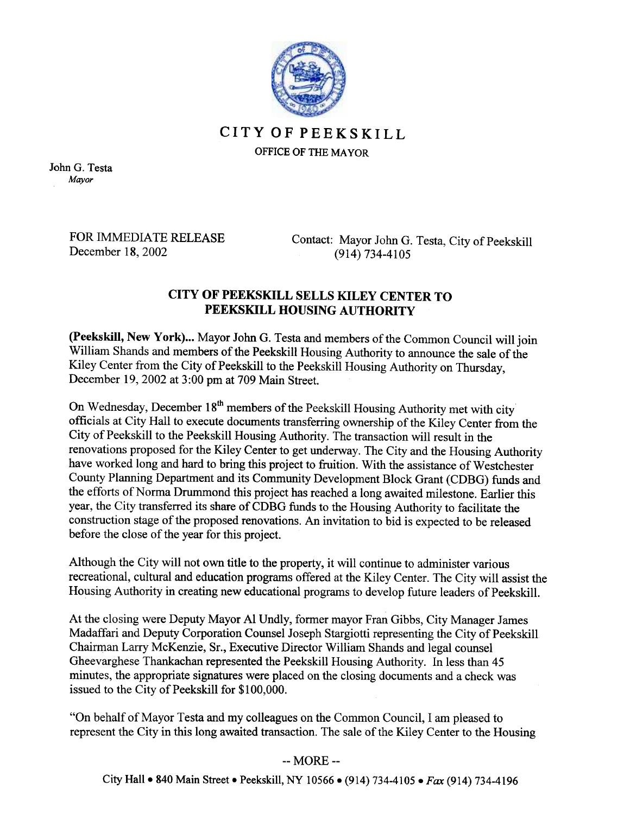

## CITYOFPEEKSKILL

OFFICE OF THE MAYOR

John G. Testa Mayor

> FOR IMMEDIATE RELEASE December 18, 2002

Contact: Mayor John G. Testa, City of Peekskill (914) 734-4105

## CITY OF PEEKSKILL SELLS KILEY CENTER TO PEEKSKILL HOUSING AUTHORITY

(Peekskill, New York)... Mayor John G. Testa and members of the Common Council will join William Shands and members of the Peekskill Housing Authority to announce the sale of the Kiley Center from the City of Peekskill to the Peekskill Housing Authority on Thursday, December 19,2002 at 3:00 pm at 709 Main Street.

On Wednesday, December 18<sup>th</sup> members of the Peekskill Housing Authority met with city officials at City Hall to execute documents transferring ownership of the Kiley Center from the City of Peekskill to the Peekskill Housing Authority. The transaction will result in the renovations proposed for the Kiley Center to get underway. The City and the Housing Authority have worked long and hard to bring this project to fruition. With the assistance of Westchester County Planning Department and its Community Development Block Grant (CDBG) funds and the efforts of Norma Drummond this project has reached a long awaited milestone. Earlier this year, the City transferred its share of CDBG funds to the Housing Authority to facilitate the construction stage of the proposed renovations. An invitation to bid is expected to be released before the close of the year for this project.

Although the City will not own title to the property, it will continue to administer various recreational, cultural and education programs offered at the Kiley Center. The City will assist the Housing Authority in creating new educational programs to develop future leaders of Peekskill.

At the closing were Deputy Mayor Al Undly, former mayor Fran Gibbs, City Manager James Madaffari and Deputy Corporation Counsel Joseph Stargiotti representing the City of Peekskill Chairman Larry McKenzie, Sr., Executive Director William Shands and legal counsel Gheevarghese Thankachan represented the Peekskill Housing Authority. In less than 45 minutes, the appropriate signatures were placed on the closing documents and a check was issued to the City of Peekskill for \$100,000.

"On behalf of Mayor Testa and my colleagues on the Common Council, I am pleased to represent the City in this long awaited transaction. The sale of the Kiley Center to the Housing

## -- MORE --